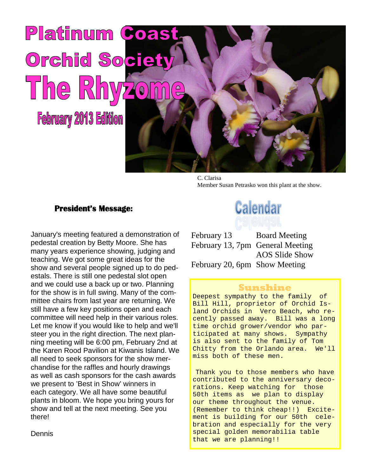

C. Clarisa Member Susan Petrasko won this plant at the show.

#### **President's Message:**

January's meeting featured a demonstration of pedestal creation by Betty Moore. She has many years experience showing, judging and teaching. We got some great ideas for the show and several people signed up to do pedestals. There is still one pedestal slot open and we could use a back up or two. Planning for the show is in full swing. Many of the committee chairs from last year are returning. We still have a few key positions open and each committee will need help in their various roles. Let me know if you would like to help and we'll steer you in the right direction. The next planning meeting will be 6:00 pm, February 2nd at the Karen Rood Pavilion at Kiwanis Island. We all need to seek sponsors for the show merchandise for the raffles and hourly drawings as well as cash sponsors for the cash awards we present to 'Best in Show' winners in each category. We all have some beautiful plants in bloom. We hope you bring yours for show and tell at the next meeting. See you there!

**Calendar** 

February 13 Board Meeting February 13, 7pm General Meeting AOS Slide Show February 20, 6pm Show Meeting

### **Sunshine**

Deepest sympathy to the family of Bill Hill, proprietor of Orchid Island Orchids in Vero Beach, who recently passed away. Bill was a long time orchid grower/vendor who participated at many shows. Sympathy is also sent to the family of Tom Chitty from the Orlando area. We'll miss both of these men.

Thank you to those members who have contributed to the anniversary decorations. Keep watching for those 50th items as we plan to display our theme throughout the venue. (Remember to think cheap!!) Excitement is building for our 50th celebration and especially for the very special golden memorabilia table that we are planning!!

Dennis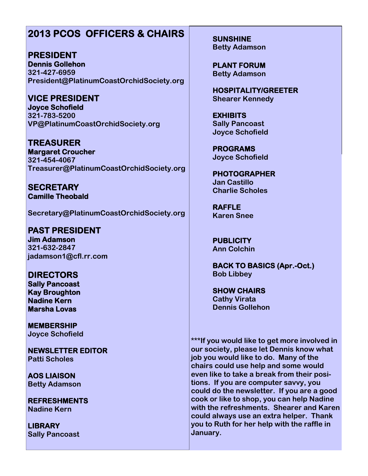# **2013 PCOS OFFICERS & CHAIRS**

**PRESIDENT Dennis Gollehon 321-427-6959 President@PlatinumCoastOrchidSociety.org**

**VICE PRESIDENT Joyce Schofield 321-783-5200 VP@PlatinumCoastOrchidSociety.org**

**TREASURER Margaret Croucher 321-454-4067 Treasurer@PlatinumCoastOrchidSociety.org**

**SECRETARY Camille Theobald**

**Secretary@PlatinumCoastOrchidSociety.org**

**PAST PRESIDENT Jim Adamson 321-632-2847 jadamson1@cfl.rr.com**

**DIRECTORS Sally Pancoast Kay Broughton Nadine Kern Marsha Lovas**

**MEMBERSHIP Joyce Schofield**

**NEWSLETTER EDITOR Patti Scholes**

**AOS LIAISON Betty Adamson**

**REFRESHMENTS Nadine Kern**

**LIBRARY Sally Pancoast** **SUNSHINE Betty Adamson**

**PLANT FORUM Betty Adamson**

**HOSPITALITY/GREETER Shearer Kennedy**

**EXHIBITS Sally Pancoast Joyce Schofield**

**PROGRAMS Joyce Schofield**

**PHOTOGRAPHER Jan Castillo Charlie Scholes**

**RAFFLE Karen Snee**

**PUBLICITY Ann Colchin**

**BACK TO BASICS (Apr.-Oct.) Bob Libbey**

**SHOW CHAIRS Cathy Virata Dennis Gollehon**

**\*\*\*If you would like to get more involved in our society, please let Dennis know what job you would like to do. Many of the chairs could use help and some would even like to take a break from their positions. If you are computer savvy, you could do the newsletter. If you are a good cook or like to shop, you can help Nadine with the refreshments. Shearer and Karen could always use an extra helper. Thank you to Ruth for her help with the raffle in January.**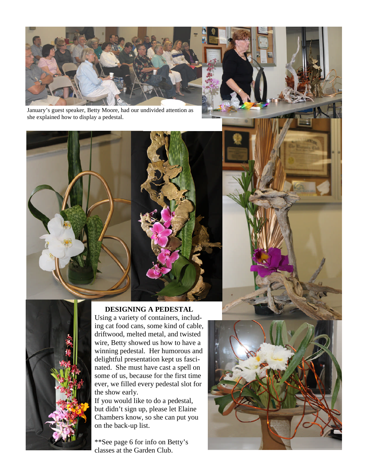

January's guest speaker, Betty Moore, had our undivided attention as she explained how to display a pedestal.



Using a variety of containers, including cat food cans, some kind of cable, driftwood, melted metal, and twisted wire, Betty showed us how to have a winning pedestal. Her humorous and delightful presentation kept us fascinated. She must have cast a spell on some of us, because for the first time ever, we filled every pedestal slot for the show early.

If you would like to do a pedestal, but didn't sign up, please let Elaine Chambers know, so she can put you on the back-up list.

\*\*See page 6 for info on Betty's classes at the Garden Club.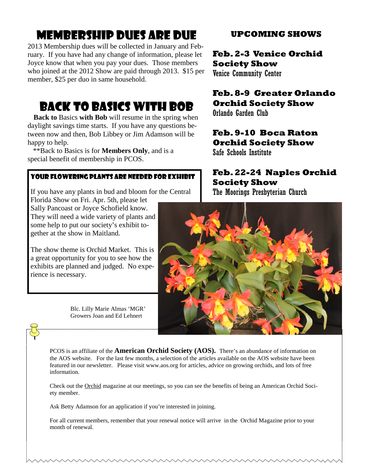# Membership Dues are due

2013 Membership dues will be collected in January and February. If you have had any change of information, please let Joyce know that when you pay your dues. Those members who joined at the 2012 Show are paid through 2013. \$15 per member, \$25 per duo in same household.

# BACK TO BASICS with bob

**Back to** Basics **with Bob** will resume in the spring when daylight savings time starts. If you have any questions between now and then, Bob Libbey or Jim Adamson will be happy to help.

\*\*Back to Basics is for **Members Only**, and is a special benefit of membership in PCOS.

## Your flowering plants are needed for exhibit

If you have any plants in bud and bloom for the Central

Florida Show on Fri. Apr. 5th, please let Sally Pancoast or Joyce Schofield know. They will need a wide variety of plants and some help to put our society's exhibit together at the show in Maitland.

The show theme is Orchid Market. This is a great opportunity for you to see how the exhibits are planned and judged. No experience is necessary.

> Blc. Lilly Marie Almas 'MGR' Growers Joan and Ed Lehnert

# **UPCOMING SHOWS**

**Feb. 2-3 Venice Orchid Society Show**

Venice Community Center

# **Feb. 8-9 Greater Orlando Orchid Society Show**

Orlando Garden Club

## **Feb. 9-10 Boca Raton Orchid Society Show**

Safe Schools Institute

# **Feb. 22-24 Naples Orchid Society Show**

The Moorings Presbyterian Church



PCOS is an affiliate of the **American Orchid Society (AOS).** There's an abundance of information on the AOS website. For the last few months, a selection of the articles available on the AOS website have been featured in our newsletter. Please visit www.aos.org for articles, advice on growing orchids, and lots of free information.

Check out the Orchid magazine at our meetings, so you can see the benefits of being an American Orchid Society member.

Ask Betty Adamson for an application if you're interested in joining.

For all current members, remember that your renewal notice will arrive in the Orchid Magazine prior to your month of renewal.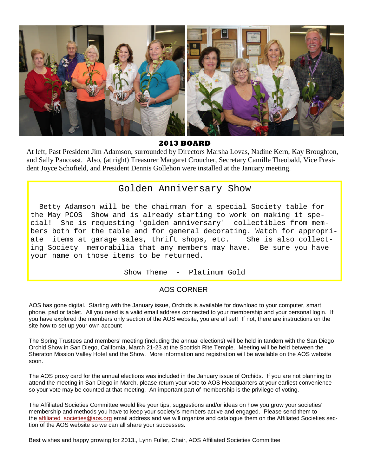

**2013 BOARD**

At left, Past President Jim Adamson, surrounded by Directors Marsha Lovas, Nadine Kern, Kay Broughton, and Sally Pancoast. Also, (at right) Treasurer Margaret Croucher, Secretary Camille Theobald, Vice President Joyce Schofield, and President Dennis Gollehon were installed at the January meeting.

## Golden Anniversary Show

Betty Adamson will be the chairman for a special Society table for the May PCOS Show and is already starting to work on making it special! She is requesting 'golden anniversary' collectibles from members both for the table and for general decorating. Watch for appropriate items at garage sales, thrift shops, etc. She is also collecting Society memorabilia that any members may have. Be sure you have your name on those items to be returned.

Show Theme - Platinum Gold

#### AOS CORNER

AOS has gone digital. Starting with the January issue, Orchids is available for download to your computer, smart phone, pad or tablet. All you need is a valid email address connected to your membership and your personal login. If you have explored the members only section of the AOS website, you are all set! If not, there are instructions on the site how to set up your own account

The Spring Trustees and members' meeting (including the annual elections) will be held in tandem with the San Diego Orchid Show in San Diego, California, March 21-23 at the Scottish Rite Temple. Meeting will be held between the Sheraton Mission Valley Hotel and the Show. More information and registration will be available on the AOS website soon.

The AOS proxy card for the annual elections was included in the January issue of Orchids. If you are not planning to attend the meeting in San Diego in March, please return your vote to AOS Headquarters at your earliest convenience so your vote may be counted at that meeting. An important part of membership is the privilege of voting.

The Affiliated Societies Committee would like your tips, suggestions and/or ideas on how you grow your societies' membership and methods you have to keep your society's members active and engaged. Please send them to the affiliated\_societies@aos.org email address and we will organize and catalogue them on the Affiliated Societies section of the AOS website so we can all share your successes.

Best wishes and happy growing for 2013., Lynn Fuller, Chair, AOS Affiliated Societies Committee